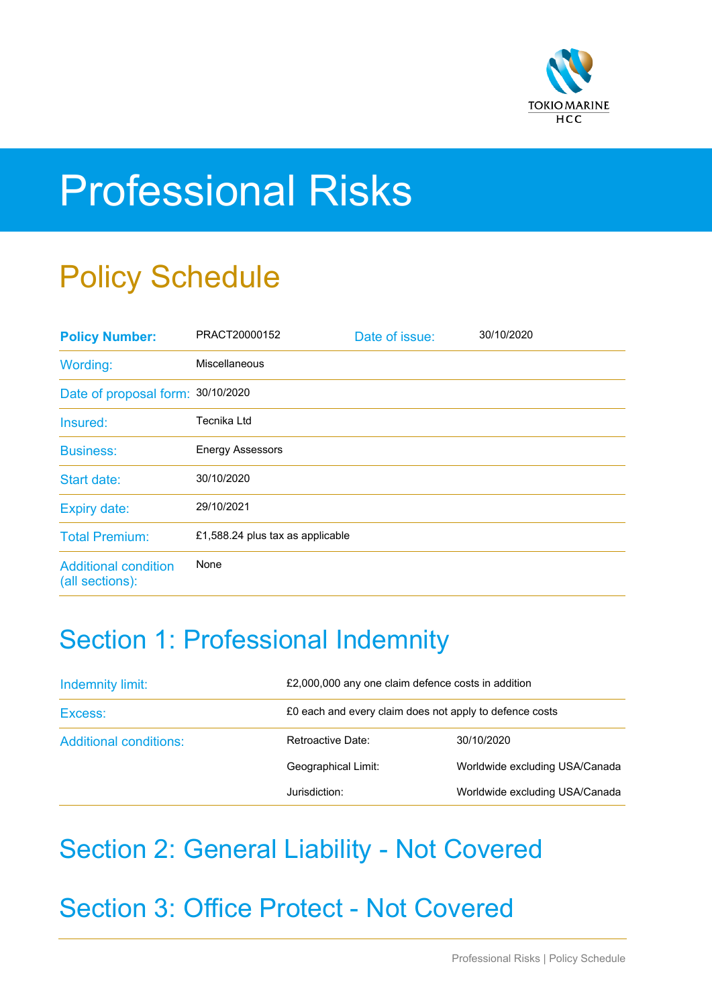

# Professional Risks

## Policy Schedule

| <b>Policy Number:</b>                          | PRACT20000152                    | Date of issue: | 30/10/2020 |
|------------------------------------------------|----------------------------------|----------------|------------|
| Wording:                                       | <b>Miscellaneous</b>             |                |            |
| Date of proposal form: 30/10/2020              |                                  |                |            |
| Insured:                                       | Tecnika Ltd                      |                |            |
| <b>Business:</b>                               | <b>Energy Assessors</b>          |                |            |
| Start date:                                    | 30/10/2020                       |                |            |
| <b>Expiry date:</b>                            | 29/10/2021                       |                |            |
| <b>Total Premium:</b>                          | £1,588.24 plus tax as applicable |                |            |
| <b>Additional condition</b><br>(all sections): | None                             |                |            |

### Section 1: Professional Indemnity

| Indemnity limit:              |                     | £2,000,000 any one claim defence costs in addition      |  |  |
|-------------------------------|---------------------|---------------------------------------------------------|--|--|
| Excess:                       |                     | £0 each and every claim does not apply to defence costs |  |  |
| <b>Additional conditions:</b> | Retroactive Date:   | 30/10/2020                                              |  |  |
|                               | Geographical Limit: | Worldwide excluding USA/Canada                          |  |  |
|                               | Jurisdiction:       | Worldwide excluding USA/Canada                          |  |  |

### Section 2: General Liability - Not Covered

Section 3: Office Protect - Not Covered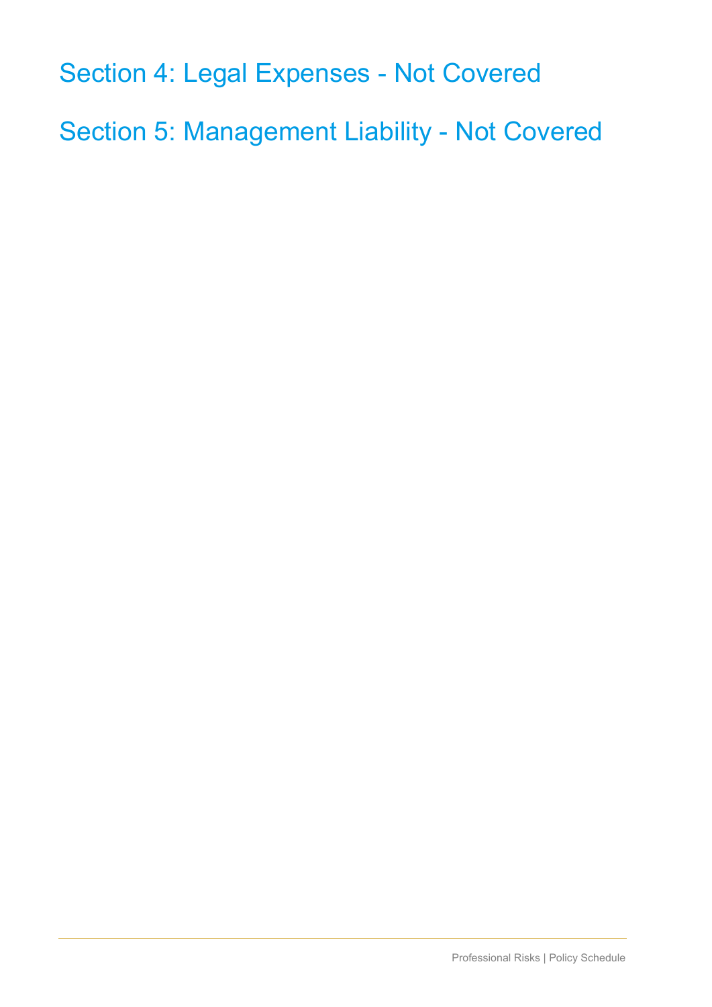Section 4: Legal Expenses - Not Covered

Section 5: Management Liability - Not Covered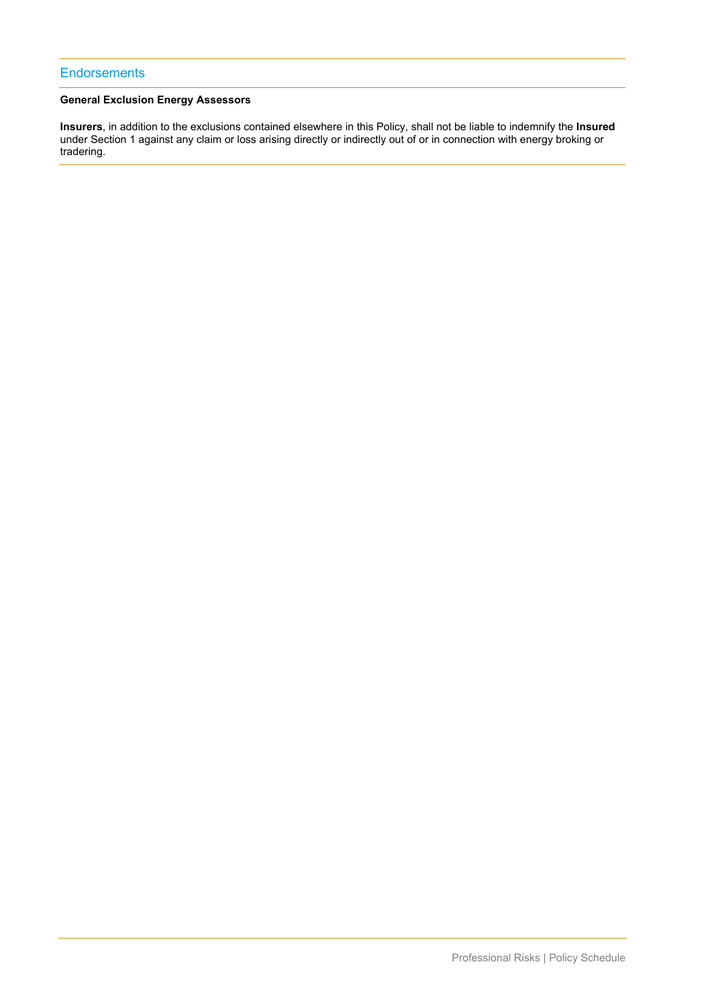#### **General Exclusion Energy Assessors**

**Insurers**, in addition to the exclusions contained elsewhere in this Policy, shall not be liable to indemnify the **Insured** under Section 1 against any claim or loss arising directly or indirectly out of or in connection with energy broking or tradering.